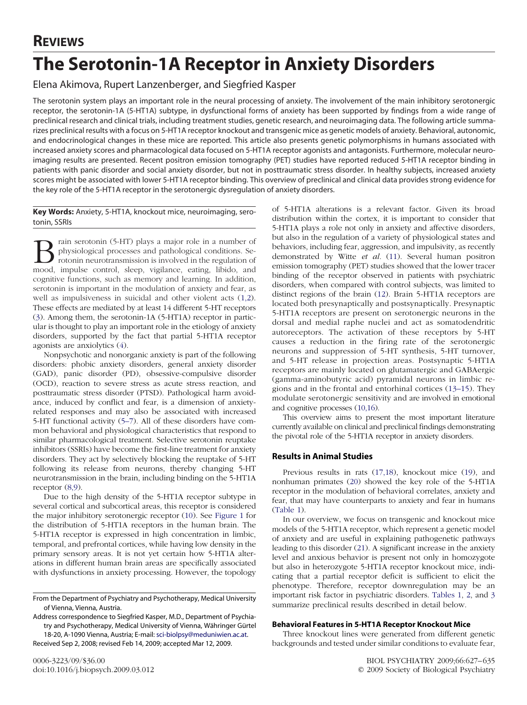# **The Serotonin-1A Receptor in Anxiety Disorders**

Elena Akimova, Rupert Lanzenberger, and Siegfried Kasper

The serotonin system plays an important role in the neural processing of anxiety. The involvement of the main inhibitory serotonergic receptor, the serotonin-1A (5-HT1A) subtype, in dysfunctional forms of anxiety has been supported by findings from a wide range of preclinical research and clinical trials, including treatment studies, genetic research, and neuroimaging data. The following article summarizes preclinical results with a focus on 5-HT1A receptor knockout and transgenic mice as genetic models of anxiety. Behavioral, autonomic, and endocrinological changes in these mice are reported. This article also presents genetic polymorphisms in humans associated with increased anxiety scores and pharmacological data focused on 5-HT1A receptor agonists and antagonists. Furthermore, molecular neuroimaging results are presented. Recent positron emission tomography (PET) studies have reported reduced 5-HT1A receptor binding in patients with panic disorder and social anxiety disorder, but not in posttraumatic stress disorder. In healthy subjects, increased anxiety scores might be associated with lower 5-HT1A receptor binding. This overview of preclinical and clinical data provides strong evidence for the key role of the 5-HT1A receptor in the serotonergic dysregulation of anxiety disorders.

**Key Words:** Anxiety, 5-HT1A, knockout mice, neuroimaging, serotonin, SSRIs

rain serotonin (5-HT) plays a major role in a number of physiological processes and pathological conditions. Serotonin neurotransmission is involved in the regulation of mood, impulse control, sleep, vigilance, eating, libido, and cognitive functions, such as memory and learning. In addition, serotonin is important in the modulation of anxiety and fear, as well as impulsiveness in suicidal and other violent acts [\(1,2\)](#page-6-0). These effects are mediated by at least 14 different 5-HT receptors [\(3\)](#page-6-0). Among them, the serotonin-1A (5-HT1A) receptor in particular is thought to play an important role in the etiology of anxiety disorders, supported by the fact that partial 5-HT1A receptor agonists are anxiolytics [\(4\)](#page-6-0).

Nonpsychotic and nonorganic anxiety is part of the following disorders: phobic anxiety disorders, general anxiety disorder (GAD), panic disorder (PD), obsessive-compulsive disorder (OCD), reaction to severe stress as acute stress reaction, and posttraumatic stress disorder (PTSD). Pathological harm avoidance, induced by conflict and fear, is a dimension of anxietyrelated responses and may also be associated with increased 5-HT functional activity [\(5–7\)](#page-6-0). All of these disorders have common behavioral and physiological characteristics that respond to similar pharmacological treatment. Selective serotonin reuptake inhibitors (SSRIs) have become the first-line treatment for anxiety disorders. They act by selectively blocking the reuptake of 5-HT following its release from neurons, thereby changing 5-HT neurotransmission in the brain, including binding on the 5-HT1A receptor [\(8,9\)](#page-6-0).

Due to the high density of the 5-HT1A receptor subtype in several cortical and subcortical areas, this receptor is considered the major inhibitory serotonergic receptor [\(10\)](#page-6-0). See [Figure 1](#page-1-0) for the distribution of 5-HT1A receptors in the human brain. The 5-HT1A receptor is expressed in high concentration in limbic, temporal, and prefrontal cortices, while having low density in the primary sensory areas. It is not yet certain how 5-HT1A alterations in different human brain areas are specifically associated with dysfunctions in anxiety processing. However, the topology

Address correspondence to Siegfried Kasper, M.D., Department of Psychiatry and Psychotherapy, Medical University of Vienna, Währinger Gürtel 18-20, A-1090 Vienna, Austria; E-mail: [sci-biolpsy@meduniwien.ac.at.](mailto:sci-biolpsy@meduniwien.ac.at)

Received Sep 2, 2008; revised Feb 14, 2009; accepted Mar 12, 2009.

of 5-HT1A alterations is a relevant factor. Given its broad distribution within the cortex, it is important to consider that 5-HT1A plays a role not only in anxiety and affective disorders, but also in the regulation of a variety of physiological states and behaviors, including fear, aggression, and impulsivity, as recently demonstrated by Witte *et al.* [\(11\)](#page-6-0). Several human positron emission tomography (PET) studies showed that the lower tracer binding of the receptor observed in patients with psychiatric disorders, when compared with control subjects, was limited to distinct regions of the brain [\(12\)](#page-6-0). Brain 5-HT1A receptors are located both presynaptically and postsynaptically. Presynaptic 5-HT1A receptors are present on serotonergic neurons in the dorsal and medial raphe nuclei and act as somatodendritic autoreceptors. The activation of these receptors by 5-HT causes a reduction in the firing rate of the serotonergic neurons and suppression of 5-HT synthesis, 5-HT turnover, and 5-HT release in projection areas. Postsynaptic 5-HT1A receptors are mainly located on glutamatergic and GABAergic (gamma-aminobutyric acid) pyramidal neurons in limbic regions and in the frontal and entorhinal cortices [\(13–15\)](#page-6-0). They modulate serotonergic sensitivity and are involved in emotional and cognitive processes [\(10,16\)](#page-6-0).

This overview aims to present the most important literature currently available on clinical and preclinical findings demonstrating the pivotal role of the 5-HT1A receptor in anxiety disorders.

## **Results in Animal Studies**

Previous results in rats [\(17,18\)](#page-6-0), knockout mice [\(19\)](#page-6-0), and nonhuman primates [\(20\)](#page-6-0) showed the key role of the 5-HT1A receptor in the modulation of behavioral correlates, anxiety and fear, that may have counterparts to anxiety and fear in humans [\(Table 1\)](#page-2-0).

In our overview, we focus on transgenic and knockout mice models of the 5-HT1A receptor, which represent a genetic model of anxiety and are useful in explaining pathogenetic pathways leading to this disorder [\(21\)](#page-6-0). A significant increase in the anxiety level and anxious behavior is present not only in homozygote but also in heterozygote 5-HT1A receptor knockout mice, indicating that a partial receptor deficit is sufficient to elicit the phenotype. Therefore, receptor downregulation may be an important risk factor in psychiatric disorders. [Tables 1,](#page-2-0) [2,](#page-2-0) and [3](#page-3-0) summarize preclinical results described in detail below.

## **Behavioral Features in 5-HT1A Receptor Knockout Mice**

Three knockout lines were generated from different genetic backgrounds and tested under similar conditions to evaluate fear,

From the Department of Psychiatry and Psychotherapy, Medical University of Vienna, Vienna, Austria.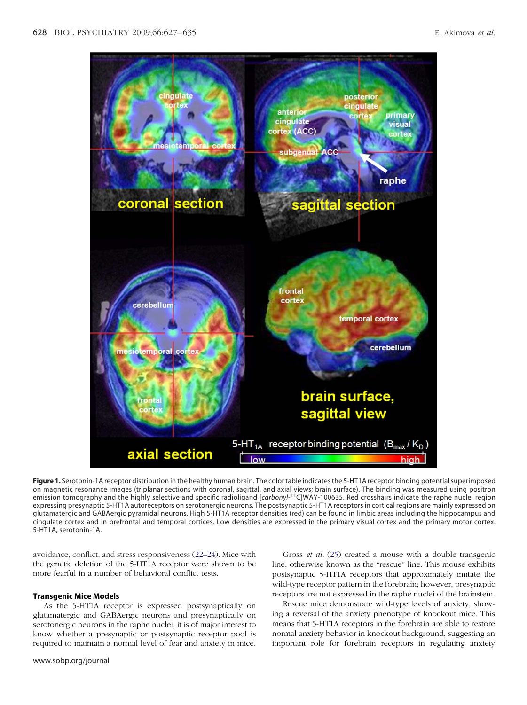<span id="page-1-0"></span>

**Figure 1.** Serotonin-1A receptor distribution in the healthy human brain. The color table indicates the 5-HT1A receptor binding potential superimposed on magnetic resonance images (triplanar sections with coronal, sagittal, and axial views; brain surface). The binding was measured using positron emission tomography and the highly selective and specific radioligand [carbonyl-<sup>11</sup>C]WAY-100635. Red crosshairs indicate the raphe nuclei region expressing presynaptic 5-HT1A autoreceptors on serotonergic neurons. The postsynaptic 5-HT1A receptors in cortical regions are mainly expressed on glutamatergic and GABAergic pyramidal neurons. High 5-HT1A receptor densities (red) can be found in limbic areas including the hippocampus and cingulate cortex and in prefrontal and temporal cortices. Low densities are expressed in the primary visual cortex and the primary motor cortex. 5-HT1A, serotonin-1A.

avoidance, conflict, and stress responsiveness [\(22–24\)](#page-6-0). Mice with the genetic deletion of the 5-HT1A receptor were shown to be more fearful in a number of behavioral conflict tests.

## **Transgenic Mice Models**

As the 5-HT1A receptor is expressed postsynaptically on glutamatergic and GABAergic neurons and presynaptically on serotonergic neurons in the raphe nuclei, it is of major interest to know whether a presynaptic or postsynaptic receptor pool is required to maintain a normal level of fear and anxiety in mice.

Gross *et al.* [\(25\)](#page-6-0) created a mouse with a double transgenic line, otherwise known as the "rescue" line. This mouse exhibits postsynaptic 5-HT1A receptors that approximately imitate the wild-type receptor pattern in the forebrain; however, presynaptic receptors are not expressed in the raphe nuclei of the brainstem.

Rescue mice demonstrate wild-type levels of anxiety, showing a reversal of the anxiety phenotype of knockout mice. This means that 5-HT1A receptors in the forebrain are able to restore normal anxiety behavior in knockout background, suggesting an important role for forebrain receptors in regulating anxiety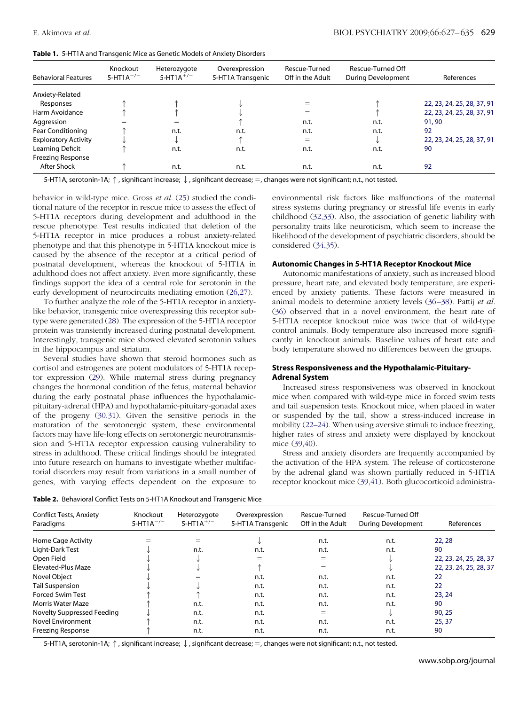<span id="page-2-0"></span>

|  |  | Table 1. 5-HT1A and Transgenic Mice as Genetic Models of Anxiety Disorders |  |  |  |
|--|--|----------------------------------------------------------------------------|--|--|--|
|--|--|----------------------------------------------------------------------------|--|--|--|

| <b>Behavioral Features</b>  | Knockout<br>5-HT1A <sup><math>-/-</math></sup> | Heterozygote<br>5-HT1A <sup>+/-</sup> | Overexpression<br>5-HT1A Transgenic | Rescue-Turned<br>Off in the Adult | Rescue-Turned Off<br><b>During Development</b> | References                 |
|-----------------------------|------------------------------------------------|---------------------------------------|-------------------------------------|-----------------------------------|------------------------------------------------|----------------------------|
| Anxiety-Related             |                                                |                                       |                                     |                                   |                                                |                            |
| Responses                   |                                                |                                       |                                     | $=$                               |                                                | 22, 23, 24, 25, 28, 37, 91 |
| Harm Avoidance              |                                                |                                       |                                     | $=$                               |                                                | 22, 23, 24, 25, 28, 37, 91 |
| Aggression                  |                                                | $=$                                   |                                     | n.t.                              | n.t.                                           | 91,90                      |
| <b>Fear Conditioning</b>    |                                                | n.t.                                  | n.t.                                | n.t.                              | n.t.                                           | 92                         |
| <b>Exploratory Activity</b> |                                                |                                       |                                     | $=$                               |                                                | 22, 23, 24, 25, 28, 37, 91 |
| Learning Deficit            |                                                | n.t.                                  | n.t.                                | n.t.                              | n.t.                                           | 90                         |
| <b>Freezing Response</b>    |                                                |                                       |                                     |                                   |                                                |                            |
| After Shock                 |                                                | n.t.                                  | n.t.                                | n.t.                              | n.t.                                           | 92                         |

5-HT1A, serotonin-1A;  $\uparrow$ , significant increase;  $\downarrow$ , significant decrease; =, changes were not significant; n.t., not tested.

behavior in wild-type mice. Gross *et al.* [\(25\)](#page-6-0) studied the conditional nature of the receptor in rescue mice to assess the effect of 5-HT1A receptors during development and adulthood in the rescue phenotype. Test results indicated that deletion of the 5-HT1A receptor in mice produces a robust anxiety-related phenotype and that this phenotype in 5-HT1A knockout mice is caused by the absence of the receptor at a critical period of postnatal development, whereas the knockout of 5-HT1A in adulthood does not affect anxiety. Even more significantly, these findings support the idea of a central role for serotonin in the early development of neurocircuits mediating emotion [\(26,27\)](#page-6-0).

To further analyze the role of the 5-HT1A receptor in anxietylike behavior, transgenic mice overexpressing this receptor subtype were generated [\(28\)](#page-6-0). The expression of the 5-HT1A receptor protein was transiently increased during postnatal development. Interestingly, transgenic mice showed elevated serotonin values in the hippocampus and striatum.

Several studies have shown that steroid hormones such as cortisol and estrogenes are potent modulators of 5-HT1A receptor expression [\(29\)](#page-6-0). While maternal stress during pregnancy changes the hormonal condition of the fetus, maternal behavior during the early postnatal phase influences the hypothalamicpituitary-adrenal (HPA) and hypothalamic-pituitary-gonadal axes of the progeny [\(30,31\)](#page-6-0). Given the sensitive periods in the maturation of the serotonergic system, these environmental factors may have life-long effects on serotonergic neurotransmission and 5-HT1A receptor expression causing vulnerability to stress in adulthood. These critical findings should be integrated into future research on humans to investigate whether multifactorial disorders may result from variations in a small number of genes, with varying effects dependent on the exposure to

environmental risk factors like malfunctions of the maternal stress systems during pregnancy or stressful life events in early childhood [\(32,33\)](#page-6-0). Also, the association of genetic liability with personality traits like neuroticism, which seem to increase the likelihood of the development of psychiatric disorders, should be considered [\(34,35\)](#page-7-0).

#### **Autonomic Changes in 5-HT1A Receptor Knockout Mice**

Autonomic manifestations of anxiety, such as increased blood pressure, heart rate, and elevated body temperature, are experienced by anxiety patients. These factors were measured in animal models to determine anxiety levels [\(36 –38\)](#page-7-0). Pattij *et al.* [\(36\)](#page-7-0) observed that in a novel environment, the heart rate of 5-HT1A receptor knockout mice was twice that of wild-type control animals. Body temperature also increased more significantly in knockout animals. Baseline values of heart rate and body temperature showed no differences between the groups.

#### **Stress Responsiveness and the Hypothalamic-Pituitary-Adrenal System**

Increased stress responsiveness was observed in knockout mice when compared with wild-type mice in forced swim tests and tail suspension tests. Knockout mice, when placed in water or suspended by the tail, show a stress-induced increase in mobility [\(22–24\)](#page-6-0). When using aversive stimuli to induce freezing, higher rates of stress and anxiety were displayed by knockout mice [\(39,40\)](#page-7-0).

Stress and anxiety disorders are frequently accompanied by the activation of the HPA system. The release of corticosterone by the adrenal gland was shown partially reduced in 5-HT1A receptor knockout mice [\(39,41\)](#page-7-0). Both glucocorticoid administra-

|  |  |  |  |  |  |  | Table 2. Behavioral Conflict Tests on 5-HT1A Knockout and Transgenic Mice |
|--|--|--|--|--|--|--|---------------------------------------------------------------------------|
|--|--|--|--|--|--|--|---------------------------------------------------------------------------|

| <b>Conflict Tests, Anxiety</b><br>Paradigms | Knockout<br>$5-HT1A^{-/-}$ | Heterozygote<br>$5-HT1A^{+/-}$ | Overexpression<br>5-HT1A Transgenic | Rescue-Turned<br>Off in the Adult | Rescue-Turned Off<br><b>During Development</b> | References             |
|---------------------------------------------|----------------------------|--------------------------------|-------------------------------------|-----------------------------------|------------------------------------------------|------------------------|
| Home Cage Activity                          |                            |                                |                                     | n.t.                              | n.t.                                           | 22, 28                 |
| Light-Dark Test                             |                            | n.t.                           | n.t.                                | n.t.                              | n.t.                                           | 90                     |
| Open Field                                  |                            |                                |                                     | $=$                               |                                                | 22, 23, 24, 25, 28, 37 |
| Elevated-Plus Maze                          |                            |                                |                                     | $=$                               |                                                | 22, 23, 24, 25, 28, 37 |
| Novel Object                                |                            |                                | n.t.                                | n.t.                              | n.t.                                           | 22                     |
| <b>Tail Suspension</b>                      |                            |                                | n.t.                                | n.t.                              | n.t.                                           | 22                     |
| <b>Forced Swim Test</b>                     |                            |                                | n.t.                                | n.t.                              | n.t.                                           | 23, 24                 |
| Morris Water Maze                           |                            | n.t.                           | n.t.                                | n.t.                              | n.t.                                           | 90                     |
| Novelty Suppressed Feeding                  |                            | n.t.                           | n.t.                                | $=$                               |                                                | 90, 25                 |
| Novel Environment                           |                            | n.t.                           | n.t.                                | n.t.                              | n.t.                                           | 25,37                  |
| Freezing Response                           |                            | n.t.                           | n.t.                                | n.t.                              | n.t.                                           | 90                     |

5-HT1A, serotonin-1A;  $\uparrow$ , significant increase;  $\downarrow$ , significant decrease; =, changes were not significant; n.t., not tested.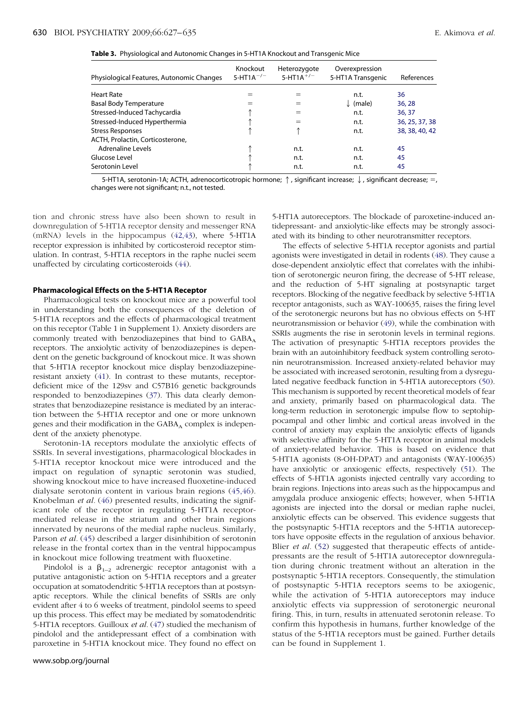<span id="page-3-0"></span>

|  |  |  | Table 3. Physiological and Autonomic Changes in 5-HT1A Knockout and Transgenic Mice |
|--|--|--|-------------------------------------------------------------------------------------|
|--|--|--|-------------------------------------------------------------------------------------|

| Physiological Features, Autonomic Changes | Knockout<br>5-HT1A <sup><math>-/-</math></sup> | Heterozygote<br>5-HT1A <sup>+/-</sup> | Overexpression<br>5-HT1A Transgenic | References     |
|-------------------------------------------|------------------------------------------------|---------------------------------------|-------------------------------------|----------------|
| <b>Heart Rate</b>                         | $=$                                            | $=$                                   | n.t.                                | 36             |
| <b>Basal Body Temperature</b>             | $=$                                            | $=$                                   | $\downarrow$ (male)                 | 36, 28         |
| Stressed-Induced Tachycardia              |                                                | $=$                                   | n.t.                                | 36, 37         |
| Stressed-Induced Hyperthermia             |                                                | $=$                                   | n.t.                                | 36, 25, 37, 38 |
| <b>Stress Responses</b>                   |                                                |                                       | n.t.                                | 38, 38, 40, 42 |
| ACTH, Prolactin, Corticosterone,          |                                                |                                       |                                     |                |
| Adrenaline Levels                         |                                                | n.t.                                  | n.t.                                | 45             |
| Glucose Level                             |                                                | n.t.                                  | n.t.                                | 45             |
| Serotonin Level                           |                                                | n.t.                                  | n.t.                                | 45             |

5-HT1A, serotonin-1A; ACTH, adrenocorticotropic hormone;  $\uparrow$ , significant increase;  $\downarrow$ , significant decrease;  $=$ , changes were not significant; n.t., not tested.

tion and chronic stress have also been shown to result in downregulation of 5-HT1A receptor density and messenger RNA (mRNA) levels in the hippocampus [\(42,43\)](#page-7-0), where 5-HT1A receptor expression is inhibited by corticosteroid receptor stimulation. In contrast, 5-HT1A receptors in the raphe nuclei seem unaffected by circulating corticosteroids [\(44\)](#page-7-0).

#### **Pharmacological Effects on the 5-HT1A Receptor**

Pharmacological tests on knockout mice are a powerful tool in understanding both the consequences of the deletion of 5-HT1A receptors and the effects of pharmacological treatment on this receptor (Table 1 in Supplement 1). Anxiety disorders are commonly treated with benzodiazepines that bind to  $GABA_A$ receptors. The anxiolytic activity of benzodiazepines is dependent on the genetic background of knockout mice. It was shown that 5-HT1A receptor knockout mice display benzodiazepineresistant anxiety [\(41\)](#page-7-0). In contrast to these mutants, receptordeficient mice of the 129sv and C57B16 genetic backgrounds responded to benzodiazepines [\(37\)](#page-7-0). This data clearly demonstrates that benzodiazepine resistance is mediated by an interaction between the 5-HT1A receptor and one or more unknown genes and their modification in the  $GABA_A$  complex is independent of the anxiety phenotype.

Serotonin-1A receptors modulate the anxiolytic effects of SSRIs. In several investigations, pharmacological blockades in 5-HT1A receptor knockout mice were introduced and the impact on regulation of synaptic serotonin was studied, showing knockout mice to have increased fluoxetine-induced dialysate serotonin content in various brain regions [\(45,46\)](#page-7-0). Knobelman *et al.* [\(46\)](#page-7-0) presented results, indicating the significant role of the receptor in regulating 5-HT1A receptormediated release in the striatum and other brain regions innervated by neurons of the medial raphe nucleus. Similarly, Parson *et al.* [\(45\)](#page-7-0) described a larger disinhibition of serotonin release in the frontal cortex than in the ventral hippocampus in knockout mice following treatment with fluoxetine.

Pindolol is a  $\beta_{1-2}$  adrenergic receptor antagonist with a putative antagonistic action on 5-HT1A receptors and a greater occupation at somatodendritic 5-HT1A receptors than at postsynaptic receptors. While the clinical benefits of SSRIs are only evident after 4 to 6 weeks of treatment, pindolol seems to speed up this process. This effect may be mediated by somatodendritic 5-HT1A receptors. Guilloux *et al.* [\(47\)](#page-7-0) studied the mechanism of pindolol and the antidepressant effect of a combination with paroxetine in 5-HT1A knockout mice. They found no effect on

5-HT1A autoreceptors. The blockade of paroxetine-induced antidepressant- and anxiolytic-like effects may be strongly associated with its binding to other neurotransmitter receptors.

The effects of selective 5-HT1A receptor agonists and partial agonists were investigated in detail in rodents [\(48\)](#page-7-0). They cause a dose-dependent anxiolytic effect that correlates with the inhibition of serotonergic neuron firing, the decrease of 5-HT release, and the reduction of 5-HT signaling at postsynaptic target receptors. Blocking of the negative feedback by selective 5-HT1A receptor antagonists, such as WAY-100635, raises the firing level of the serotonergic neurons but has no obvious effects on 5-HT neurotransmission or behavior [\(49\)](#page-7-0), while the combination with SSRIs augments the rise in serotonin levels in terminal regions. The activation of presynaptic 5-HT1A receptors provides the brain with an autoinhibitory feedback system controlling serotonin neurotransmission. Increased anxiety-related behavior may be associated with increased serotonin, resulting from a dysregulated negative feedback function in 5-HT1A autoreceptors [\(50\)](#page-7-0). This mechanism is supported by recent theoretical models of fear and anxiety, primarily based on pharmacological data. The long-term reduction in serotonergic impulse flow to septohippocampal and other limbic and cortical areas involved in the control of anxiety may explain the anxiolytic effects of ligands with selective affinity for the 5-HT1A receptor in animal models of anxiety-related behavior. This is based on evidence that 5-HT1A agonists (8-OH-DPAT) and antagonists (WAY-100635) have anxiolytic or anxiogenic effects, respectively [\(51\)](#page-7-0). The effects of 5-HT1A agonists injected centrally vary according to brain regions. Injections into areas such as the hippocampus and amygdala produce anxiogenic effects; however, when 5-HT1A agonists are injected into the dorsal or median raphe nuclei, anxiolytic effects can be observed. This evidence suggests that the postsynaptic 5-HT1A receptors and the 5-HT1A autoreceptors have opposite effects in the regulation of anxious behavior. Blier *et al.* [\(52\)](#page-7-0) suggested that therapeutic effects of antidepressants are the result of 5-HT1A autoreceptor downregulation during chronic treatment without an alteration in the postsynaptic 5-HT1A receptors. Consequently, the stimulation of postsynaptic 5-HT1A receptors seems to be axiogenic, while the activation of 5-HT1A autoreceptors may induce anxiolytic effects via suppression of serotonergic neuronal firing. This, in turn, results in attenuated serotonin release. To confirm this hypothesis in humans, further knowledge of the status of the 5-HT1A receptors must be gained. Further details can be found in Supplement 1.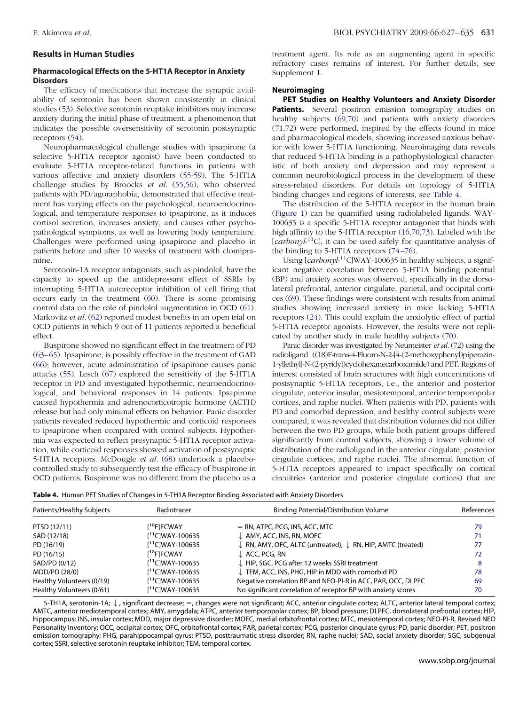## **Results in Human Studies**

## **Pharmacological Effects on the 5-HT1A Receptor in Anxiety Disorders**

The efficacy of medications that increase the synaptic availability of serotonin has been shown consistently in clinical studies [\(53\)](#page-7-0). Selective serotonin reuptake inhibitors may increase anxiety during the initial phase of treatment, a phenomenon that indicates the possible oversensitivity of serotonin postsynaptic receptors [\(54\)](#page-7-0).

Neuropharmacological challenge studies with ipsapirone (a selective 5-HT1A receptor agonist) have been conducted to evaluate 5-HT1A receptor-related functions in patients with various affective and anxiety disorders [\(55-59\)](#page-7-0). The 5-HT1A challenge studies by Broocks *et al.* [\(55,56\)](#page-7-0), who observed patients with PD/agoraphobia, demonstrated that effective treatment has varying effects on the psychological, neuroendocrinological, and temperature responses to ipsapirone, as it induces cortisol secretion, increases anxiety, and causes other psychopathological symptoms, as well as lowering body temperature. Challenges were performed using ipsapirone and placebo in patients before and after 10 weeks of treatment with clomipramine.

Serotonin-1A receptor antagonists, such as pindolol, have the capacity to speed up the antidepressant effect of SSRIs by interrupting 5-HT1A autoreceptor inhibition of cell firing that occurs early in the treatment [\(60\)](#page-7-0). There is some promising control data on the role of pindolol augmentation in OCD [\(61\)](#page-7-0). Markovitz *et al.* [\(62\)](#page-7-0) reported modest benefits in an open trial on OCD patients in which 9 out of 11 patients reported a beneficial effect.

Buspirone showed no significant effect in the treatment of PD [\(63– 65\)](#page-7-0). Ipsapirone, is possibly effective in the treatment of GAD [\(66\)](#page-7-0); however, acute administration of ipsapirone causes panic attacks [\(55\)](#page-7-0). Lesch [\(67\)](#page-7-0) explored the sensitivity of the 5-HT1A receptor in PD and investigated hypothermic, neuroendocrinological, and behavioral responses in 14 patients. Ipsapirone caused hypothermia and adrenocorticotropic hormone (ACTH) release but had only minimal effects on behavior. Panic disorder patients revealed reduced hypothermic and corticoid responses to ipsapirone when compared with control subjects. Hypothermia was expected to reflect presynaptic 5-HT1A receptor activation, while corticoid responses showed activation of postsynaptic 5-HT1A receptors. McDougle *et al.* [\(68\)](#page-7-0) undertook a placebocontrolled study to subsequently test the efficacy of buspirone in OCD patients. Buspirone was no different from the placebo as a

treatment agent. Its role as an augmenting agent in specific refractory cases remains of interest. For further details, see Supplement 1.

## **Neuroimaging**

**PET Studies on Healthy Volunteers and Anxiety Disorder Patients.** Several positron emission tomography studies on healthy subjects [\(69,70\)](#page-7-0) and patients with anxiety disorders [\(71,72\)](#page-7-0) were performed, inspired by the effects found in mice and pharmacological models, showing increased anxious behavior with lower 5-HT1A functioning. Neuroimaging data reveals that reduced 5-HT1A binding is a pathophysiological characteristic of both anxiety and depression and may represent a common neurobiological process in the development of these stress-related disorders. For details on topology of 5-HT1A binding changes and regions of interests, see Table 4.

The distribution of the 5-HT1A receptor in the human brain [\(Figure 1\)](#page-1-0) can be quantified using radiolabeled ligands. WAY-100635 is a specific 5-HT1A receptor antagonist that binds with high affinity to the 5-HT1A receptor [\(16,70,73\)](#page-6-0). Labeled with the [*carbonyl*-<sup>11</sup>C], it can be used safely for quantitative analysis of the binding to 5-HT1A receptors  $(74-76)$ .

Using [*carbonyl*-<sup>11</sup>C]WAY-100635 in healthy subjects, a significant negative correlation between 5-HT1A binding potential (BP) and anxiety scores was observed, specifically in the dorsolateral prefrontal, anterior cingulate, parietal, and occipital cortices [\(69\)](#page-7-0). These findings were consistent with results from animal studies showing increased anxiety in mice lacking 5-HT1A receptors [\(24\)](#page-6-0). This could explain the anxiolytic effect of partial 5-HT1A receptor agonists. However, the results were not replicated by another study in male healthy subjects [\(70\)](#page-7-0).

Panic disorder was investigated by Neumeister *et al.* [\(72\)](#page-7-0) using the radioligand ((18)F-trans-4-Fluoro-N-2-[4-(2-methoxyphenyl)piperazin-1-yl]ethyl]-N-(2-pyridyl)cyclohexanecarboxamide) and PET. Regions of interest consisted of brain structures with high concentrations of postsynaptic 5-HT1A receptors, i.e., the anterior and posterior cingulate, anterior insular, mesiotemporal, anterior temporopolar cortices, and raphe nuclei. When patients with PD, patients with PD and comorbid depression, and healthy control subjects were compared, it was revealed that distribution volumes did not differ between the two PD groups, while both patient groups differed significantly from control subjects, showing a lower volume of distribution of the radioligand in the anterior cingulate, posterior cingulate cortices, and raphe nuclei. The abnormal function of 5-HT1A receptors appeared to impact specifically on cortical circuitries (anterior and posterior cingulate cortices) that are

**Table 4.** Human PET Studies of Changes in 5-TH1A Receptor Binding Associated with Anxiety Disorders

| Patients/Healthy Subjects | Radiotracer             | <b>Binding Potential/Distribution Volume</b>                                      | References |
|---------------------------|-------------------------|-----------------------------------------------------------------------------------|------------|
| PTSD (12/11)              | [ <sup>18</sup> F]FCWAY | $=$ RN, ATPC, PCG, INS, ACC, MTC                                                  | 79         |
| SAD (12/18)               | $[11]$ C]WAY-100635     | $\downarrow$ AMY, ACC, INS, RN, MOFC                                              | 71         |
| PD (16/19)                | $[11$ ClWAY-100635      | $\downarrow$ RN, AMY, OFC, ALTC (untreated), $\downarrow$ RN, HIP, AMTC (treated) | 77         |
| PD (16/15)                | [ <sup>18</sup> F]FCWAY | $\downarrow$ ACC, PCG, RN                                                         | 72         |
| SAD/PD (0/12)             | $[11$ ClWAY-100635      | HIP, SGC, PCG after 12 weeks SSRI treatment                                       | 8          |
| MDD/PD (28/0)             | $[11$ ClWAY-100635      | TEM, ACC, INS, PHG, HIP in MDD with comorbid PD                                   | 78         |
| Healthy Volunteers (0/19) | $[11C]$ WAY-100635      | Negative correlation BP and NEO-PI-R in ACC, PAR, OCC, DLPFC                      | 69         |
| Healthy Volunteers (0/61) | $I11$ CIWAY-100635      | No significant correlation of receptor BP with anxiety scores                     | 70         |

5-TH1A, serotonin-1A;  $\downarrow$ , significant decrease; =, changes were not significant; ACC, anterior cingulate cortex; ALTC, anterior lateral temporal cortex; AMTC, anterior mediotemporal cortex; AMY, amygdala; ATPC, anterior temporopolar cortex; BP, blood pressure; DLPFC, dorsolateral prefrontal cortex; HIP, hippocampus; INS, insular cortex; MDD, major depressive disorder; MOFC, medial orbitofrontal cortex; MTC, mesiotemporal cortex; NEO-PI-R, Revised NEO Personality Inventory; OCC, occipital cortex; OFC, orbitofrontal cortex; PAR, parietal cortex; PCG, posterior cingulate gyrus; PD, panic disorder; PET, positron emission tomography; PHG, parahippocampal gyrus; PTSD, posttraumatic stress disorder; RN, raphe nuclei; SAD, social anxiety disorder; SGC, subgenual cortex; SSRI, selective serotonin reuptake inhibitor; TEM, temporal cortex.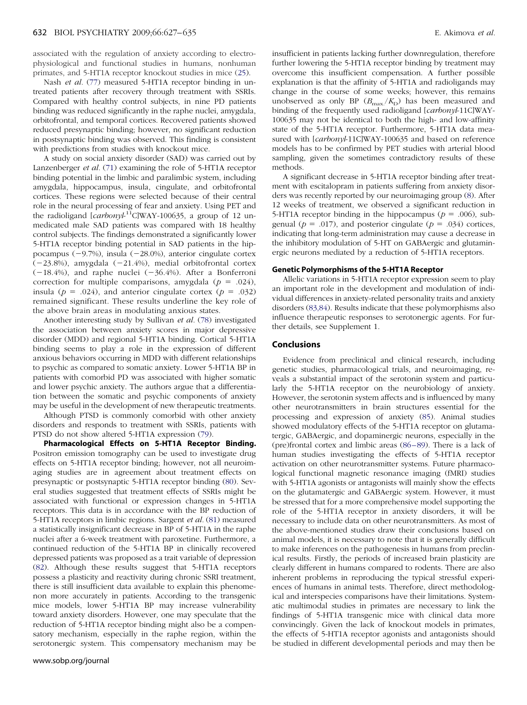associated with the regulation of anxiety according to electrophysiological and functional studies in humans, nonhuman primates, and 5-HT1A receptor knockout studies in mice [\(25\)](#page-6-0).

Nash *et al.* [\(77\)](#page-7-0) measured 5-HT1A receptor binding in untreated patients after recovery through treatment with SSRIs. Compared with healthy control subjects, in nine PD patients binding was reduced significantly in the raphe nuclei, amygdala, orbitofrontal, and temporal cortices. Recovered patients showed reduced presynaptic binding; however, no significant reduction in postsynaptic binding was observed. This finding is consistent with predictions from studies with knockout mice.

A study on social anxiety disorder (SAD) was carried out by Lanzenberger *et al.* [\(71\)](#page-7-0) examining the role of 5-HT1A receptor binding potential in the limbic and paralimbic system, including amygdala, hippocampus, insula, cingulate, and orbitofrontal cortices. These regions were selected because of their central role in the neural processing of fear and anxiety. Using PET and the radioligand [*carbonyl*-<sup>11</sup>C]WAY-100635, a group of 12 unmedicated male SAD patients was compared with 18 healthy control subjects. The findings demonstrated a significantly lower 5-HT1A receptor binding potential in SAD patients in the hippocampus ( $-9.7\%$ ), insula ( $-28.0\%$ ), anterior cingulate cortex  $(-23.8%)$ , amygdala  $(-21.4%)$ , medial orbitofrontal cortex  $(-18.4%)$ , and raphe nuclei  $(-36.4%)$ . After a Bonferroni correction for multiple comparisons, amygdala ( $p = .024$ ), insula ( $p = .024$ ), and anterior cingulate cortex ( $p = .032$ ) remained significant. These results underline the key role of the above brain areas in modulating anxious states.

Another interesting study by Sullivan *et al.* [\(78\)](#page-8-0) investigated the association between anxiety scores in major depressive disorder (MDD) and regional 5-HT1A binding. Cortical 5-HT1A binding seems to play a role in the expression of different anxious behaviors occurring in MDD with different relationships to psychic as compared to somatic anxiety. Lower 5-HT1A BP in patients with comorbid PD was associated with higher somatic and lower psychic anxiety. The authors argue that a differentiation between the somatic and psychic components of anxiety may be useful in the development of new therapeutic treatments.

Although PTSD is commonly comorbid with other anxiety disorders and responds to treatment with SSRIs, patients with PTSD do not show altered 5-HT1A expression [\(79\)](#page-8-0).

**Pharmacological Effects on 5-HT1A Receptor Binding.** Positron emission tomography can be used to investigate drug effects on 5-HT1A receptor binding; however, not all neuroimaging studies are in agreement about treatment effects on presynaptic or postsynaptic 5-HT1A receptor binding [\(80\)](#page-8-0). Several studies suggested that treatment effects of SSRIs might be associated with functional or expression changes in 5-HT1A receptors. This data is in accordance with the BP reduction of 5-HT1A receptors in limbic regions. Sargent *et al.* [\(81\)](#page-8-0) measured a statistically insignificant decrease in BP of 5-HT1A in the raphe nuclei after a 6-week treatment with paroxetine. Furthermore, a continued reduction of the 5-HT1A BP in clinically recovered depressed patients was proposed as a trait variable of depression [\(82\)](#page-8-0). Although these results suggest that 5-HT1A receptors possess a plasticity and reactivity during chronic SSRI treatment, there is still insufficient data available to explain this phenomenon more accurately in patients. According to the transgenic mice models, lower 5-HT1A BP may increase vulnerability toward anxiety disorders. However, one may speculate that the reduction of 5-HT1A receptor binding might also be a compensatory mechanism, especially in the raphe region, within the serotonergic system. This compensatory mechanism may be

insufficient in patients lacking further downregulation, therefore further lowering the 5-HT1A receptor binding by treatment may overcome this insufficient compensation. A further possible explanation is that the affinity of 5-HT1A and radioligands may change in the course of some weeks; however, this remains unobserved as only BP  $(B_{\text{max}}/K_D)$  has been measured and binding of the frequently used radioligand [*carbonyl*-11C]WAY-100635 may not be identical to both the high- and low-affinity state of the 5-HT1A receptor. Furthermore, 5-HT1A data measured with [*carbonyl*-11C]WAY-100635 and based on reference models has to be confirmed by PET studies with arterial blood sampling, given the sometimes contradictory results of these methods.

A significant decrease in 5-HT1A receptor binding after treatment with escitalopram in patients suffering from anxiety disorders was recently reported by our neuroimaging group [\(8\)](#page-6-0). After 12 weeks of treatment, we observed a significant reduction in 5-HT1A receptor binding in the hippocampus ( $p = .006$ ), subgenual ( $p = .017$ ), and posterior cingulate ( $p = .034$ ) cortices, indicating that long-term administration may cause a decrease in the inhibitory modulation of 5-HT on GABAergic and glutaminergic neurons mediated by a reduction of 5-HT1A receptors.

#### **Genetic Polymorphisms of the 5-HT1A Receptor**

Allelic variations in 5-HT1A receptor expression seem to play an important role in the development and modulation of individual differences in anxiety-related personality traits and anxiety disorders [\(83,84\)](#page-8-0). Results indicate that these polymorphisms also influence therapeutic responses to serotonergic agents. For further details, see Supplement 1.

## **Conclusions**

Evidence from preclinical and clinical research, including genetic studies, pharmacological trials, and neuroimaging, reveals a substantial impact of the serotonin system and particularly the 5-HT1A receptor on the neurobiology of anxiety. However, the serotonin system affects and is influenced by many other neurotransmitters in brain structures essential for the processing and expression of anxiety [\(85\)](#page-8-0). Animal studies showed modulatory effects of the 5-HT1A receptor on glutamatergic, GABAergic, and dopaminergic neurons, especially in the (pre)frontal cortex and limbic areas [\(86 – 89\)](#page-8-0). There is a lack of human studies investigating the effects of 5-HT1A receptor activation on other neurotransmitter systems. Future pharmacological functional magnetic resonance imaging (fMRI) studies with 5-HT1A agonists or antagonists will mainly show the effects on the glutamatergic and GABAergic system. However, it must be stressed that for a more comprehensive model supporting the role of the 5-HT1A receptor in anxiety disorders, it will be necessary to include data on other neurotransmitters. As most of the above-mentioned studies draw their conclusions based on animal models, it is necessary to note that it is generally difficult to make inferences on the pathogenesis in humans from preclinical results. Firstly, the periods of increased brain plasticity are clearly different in humans compared to rodents. There are also inherent problems in reproducing the typical stressful experiences of humans in animal tests. Therefore, direct methodological and interspecies comparisons have their limitations. Systematic multimodal studies in primates are necessary to link the findings of 5-HT1A transgenic mice with clinical data more convincingly. Given the lack of knockout models in primates, the effects of 5-HT1A receptor agonists and antagonists should be studied in different developmental periods and may then be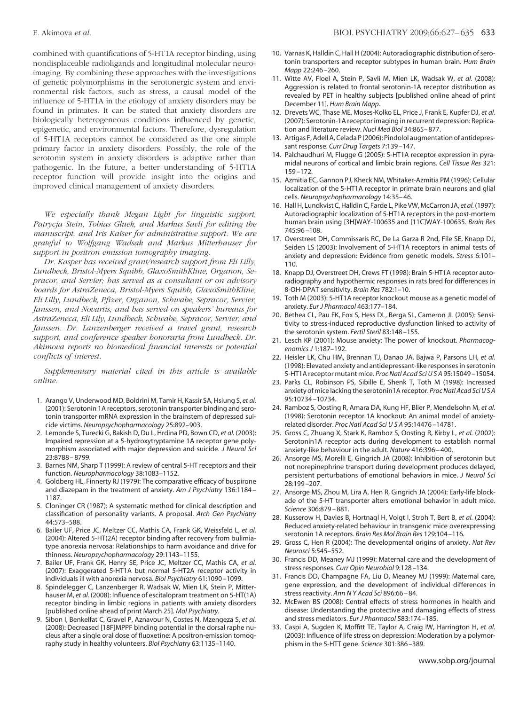<span id="page-6-0"></span>combined with quantifications of 5-HT1A receptor binding, using nondisplaceable radioligands and longitudinal molecular neuroimaging. By combining these approaches with the investigations of genetic polymorphisms in the serotonergic system and environmental risk factors, such as stress, a causal model of the influence of 5-HT1A in the etiology of anxiety disorders may be found in primates. It can be stated that anxiety disorders are biologically heterogeneous conditions influenced by genetic, epigenetic, and environmental factors. Therefore, dysregulation of 5-HT1A receptors cannot be considered as the one simple primary factor in anxiety disorders. Possibly, the role of the serotonin system in anxiety disorders is adaptive rather than pathogenic. In the future, a better understanding of 5-HT1A receptor function will provide insight into the origins and improved clinical management of anxiety disorders.

*We especially thank Megan Light for linguistic support, Patrycja Stein, Tobias Gluek, and Markus Savli for editing the manuscript, and Iris Kaiser for administrative support. We are grateful to Wolfgang Wadsak and Markus Mitterhauser for support in positron emission tomography imaging.*

*Dr. Kasper has received grant/research support from Eli Lilly, Lundbeck, Bristol-Myers Squibb, GlaxoSmithKline, Organon, Sepracor, and Servier; has served as a consultant or on advisory boards for AstraZeneca, Bristol-Myers Squibb, GlaxoSmithKline, Eli Lilly, Lundbeck, Pfizer, Organon, Schwabe, Sepracor, Servier, Janssen, and Novartis; and has served on speakers' bureaus for AstraZeneca, Eli Lily, Lundbeck, Schwabe, Sepracor, Servier, and Janssen. Dr. Lanzenberger received a travel grant, research support, and conference speaker honoraria from Lundbeck. Dr. Akimova reports no biomedical financial interests or potential conflicts of interest.*

*Supplementary material cited in this article is available online.*

- 1. Arango V, Underwood MD, Boldrini M, Tamir H, Kassir SA, Hsiung S, *et al.* (2001): Serotonin 1A receptors, serotonin transporter binding and serotonin transporter mRNA expression in the brainstem of depressed suicide victims. *Neuropsychopharmacology* 25:892–903.
- 2. Lemonde S, Turecki G, Bakish D, Du L, Hrdina PD, Bown CD, *et al.* (2003): Impaired repression at a 5-hydroxytryptamine 1A receptor gene polymorphism associated with major depression and suicide. *J Neurol Sci* 23:8788 – 8799.
- 3. Barnes NM, Sharp T (1999): A review of central 5-HT receptors and their function. *Neuropharmacology* 38:1083–1152.
- 4. Goldberg HL, Finnerty RJ (1979): The comparative efficacy of buspirone and diazepam in the treatment of anxiety. *Am J Psychiatry* 136:1184 – 1187.
- 5. Cloninger CR (1987): A systematic method for clinical description and classification of personality variants. A proposal. *Arch Gen Psychiatry* 44:573–588.
- 6. Bailer UF, Price JC, Meltzer CC, Mathis CA, Frank GK, Weissfeld L, *et al.* (2004): Altered 5-HT(2A) receptor binding after recovery from bulimiatype anorexia nervosa: Relationships to harm avoidance and drive for thinness. *Neuropsychopharmacology* 29:1143–1155.
- 7. Bailer UF, Frank GK, Henry SE, Price JC, Meltzer CC, Mathis CA, *et al.* (2007): Exaggerated 5-HT1A but normal 5-HT2A receptor activity in individuals ill with anorexia nervosa. *Biol Psychiatry* 61:1090 –1099.
- 8. Spindelegger C, Lanzenberger R, Wadsak W, Mien LK, Stein P, Mitterhauser M, *et al.* (2008): Influence of escitalopram treatment on 5-HT(1A) receptor binding in limbic regions in patients with anxiety disorders [published online ahead of print March 25]. *Mol Psychiatry*.
- 9. Sibon I, Benkelfat C, Gravel P, Aznavour N, Costes N, Mzengeza S, *et al.* (2008): Decreased [18F]MPPF binding potential in the dorsal raphe nucleus after a single oral dose of fluoxetine: A positron-emission tomography study in healthy volunteers. *Biol Psychiatry* 63:1135–1140.
- 10. Varnas K, Halldin C, Hall H (2004): Autoradiographic distribution of serotonin transporters and receptor subtypes in human brain. *Hum Brain Mapp* 22:246 –260.
- 11. Witte AV, Floel A, Stein P, Savli M, Mien LK, Wadsak W, *et al.* (2008): Aggression is related to frontal serotonin-1A receptor distribution as revealed by PET in healthy subjects [published online ahead of print December 11]. *Hum Brain Mapp*.
- 12. Drevets WC, Thase ME, Moses-Kolko EL, Price J, Frank E, Kupfer DJ, *et al.* (2007): Serotonin-1A receptor imaging in recurrent depression: Replication and literature review. *Nucl Med Biol* 34:865– 877.
- 13. Artigas F, Adell A, Celada P (2006): Pindolol augmentation of antidepressant response. *Curr Drug Targets* 7:139 –147.
- 14. Palchaudhuri M, Flugge G (2005): 5-HT1A receptor expression in pyramidal neurons of cortical and limbic brain regions. *Cell Tissue Res* 321: 159 –172.
- 15. Azmitia EC, Gannon PJ, Kheck NM, Whitaker-Azmitia PM (1996): Cellular localization of the 5-HT1A receptor in primate brain neurons and glial cells. *Neuropsychopharmacology* 14:35– 46.
- 16. Hall H, Lundkvist C, Halldin C, Farde L, Pike VW, McCarron JA, *et al.* (1997): Autoradiographic localization of 5-HT1A receptors in the post-mortem human brain using [3H]WAY-100635 and [11C]WAY-100635. *Brain Res* 745:96 –108.
- 17. Overstreet DH, Commissaris RC, De La Garza R 2nd, File SE, Knapp DJ, Seiden LS (2003): Involvement of 5-HT1A receptors in animal tests of anxiety and depression: Evidence from genetic models. *Stress* 6:101– 110.
- 18. Knapp DJ, Overstreet DH, Crews FT (1998): Brain 5-HT1A receptor autoradiography and hypothermic responses in rats bred for differences in 8-OH-DPAT sensitivity. *Brain Res* 782:1–10.
- 19. Toth M (2003): 5-HT1A receptor knockout mouse as a genetic model of anxiety. *Eur J Pharmacol* 463:177–184.
- 20. Bethea CL, Pau FK, Fox S, Hess DL, Berga SL, Cameron JL (2005): Sensitivity to stress-induced reproductive dysfunction linked to activity of the serotonin system. *Fertil Steril* 83:148 –155.
- 21. Lesch KP (2001): Mouse anxiety: The power of knockout. *Pharmacogenomics J* 1:187–192.
- 22. Heisler LK, Chu HM, Brennan TJ, Danao JA, Bajwa P, Parsons LH, *et al.* (1998): Elevated anxiety and antidepressant-like responses in serotonin 5-HT1A receptor mutant mice. *Proc Natl Acad SciUSA* 95:15049 –15054.
- 23. Parks CL, Robinson PS, Sibille E, Shenk T, Toth M (1998): Increased anxiety of mice lacking the serotonin1A receptor. *Proc Natl Acad SciUSA* 95:10734 –10734.
- 24. Ramboz S, Oosting R, Amara DA, Kung HF, Blier P, Mendelsohn M, *et al.* (1998): Serotonin receptor 1A knockout: An animal model of anxietyrelated disorder. *Proc Natl Acad SciUSA* 95:14476 –14781.
- 25. Gross C, Zhuang X, Stark K, Ramboz S, Oosting R, Kirby L, *et al.* (2002): Serotonin1A receptor acts during development to establish normal anxiety-like behaviour in the adult. *Nature* 416:396 – 400.
- 26. Ansorge MS, Morelli E, Gingrich JA (2008): Inhibition of serotonin but not norepinephrine transport during development produces delayed, persistent perturbations of emotional behaviors in mice. *J Neurol Sci* 28:199 –207.
- 27. Ansorge MS, Zhou M, Lira A, Hen R, Gingrich JA (2004): Early-life blockade of the 5-HT transporter alters emotional behavior in adult mice. *Science* 306:879 – 881.
- 28. Kusserow H, Davies B, Hortnagl H, Voigt I, Stroh T, Bert B, *et al.* (2004): Reduced anxiety-related behaviour in transgenic mice overexpressing serotonin 1A receptors. *Brain Res Mol Brain Res* 129:104 –116.
- 29. Gross C, Hen R (2004): The developmental origins of anxiety. *Nat Rev Neurosci* 5:545–552.
- 30. Francis DD, Meaney MJ (1999): Maternal care and the development of stress responses. *Curr Opin Neurobiol* 9:128 –134.
- 31. Francis DD, Champagne FA, Liu D, Meaney MJ (1999): Maternal care, gene expression, and the development of individual differences in stress reactivity. *Ann N Y Acad Sci* 896:66 – 84.
- 32. McEwen BS (2008): Central effects of stress hormones in health and disease: Understanding the protective and damaging effects of stress and stress mediators. *Eur J Pharmacol* 583:174 –185.
- 33. Caspi A, Sugden K, Moffitt TE, Taylor A, Craig IW, Harrington H, *et al.* (2003): Influence of life stress on depression: Moderation by a polymorphism in the 5-HTT gene. *Science* 301:386 –389.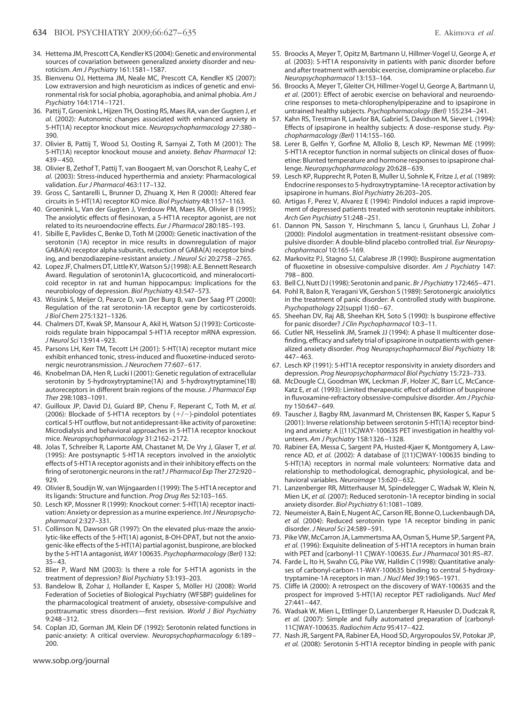- <span id="page-7-0"></span>34. Hettema JM, Prescott CA, Kendler KS (2004): Genetic and environmental sources of covariation between generalized anxiety disorder and neuroticism. *Am J Psychiatry* 161:1581–1587.
- 35. Bienvenu OJ, Hettema JM, Neale MC, Prescott CA, Kendler KS (2007): Low extraversion and high neuroticism as indices of genetic and environmental risk for social phobia, agoraphobia, and animal phobia. *Am J Psychiatry* 164:1714 –1721.
- 36. Pattij T, Groenink L, Hijzen TH, Oosting RS, Maes RA, van der Gugten J, *et al.* (2002): Autonomic changes associated with enhanced anxiety in 5-HT(1A) receptor knockout mice. *Neuropsychopharmacology* 27:380 – 390.
- 37. Olivier B, Pattij T, Wood SJ, Oosting R, Sarnyai Z, Toth M (2001): The 5-HT(1A) receptor knockout mouse and anxiety. *Behav Pharmacol* 12:  $439 - 450$ .
- 38. Olivier B, Zethof T, Pattij T, van Boogaert M, van Oorschot R, Leahy C, *et al.* (2003): Stress-induced hyperthermia and anxiety: Pharmacological validation. *Eur J Pharmacol* 463:117–132.
- 39. Gross C, Santarelli L, Brunner D, Zhuang X, Hen R (2000): Altered fear circuits in 5-HT(1A) receptor KO mice. *Biol Psychiatry* 48:1157–1163.
- 40. Groenink L, Van der Gugten J, Verdouw PM, Maes RA, Olivier B (1995): The anxiolytic effects of flesinoxan, a 5-HT1A receptor agonist, are not related to its neuroendocrine effects. *Eur J Pharmacol* 280:185–193.
- 41. Sibille E, Pavlides C, Benke D, Toth M (2000): Genetic inactivation of the serotonin (1A) receptor in mice results in downregulation of major GABA(A) receptor alpha subunits, reduction of GABA(A) receptor binding, and benzodiazepine-resistant anxiety. *J Neurol Sci* 20:2758 –2765.
- 42. Lopez JF, Chalmers DT, Little KY, Watson SJ(1998): A.E. Bennett Research Award. Regulation of serotonin1A, glucocorticoid, and mineralocorticoid receptor in rat and human hippocampus: Implications for the neurobiology of depression. *Biol Psychiatry* 43:547–573.
- 43. Wissink S, Meijer O, Pearce D, van Der Burg B, van Der Saag PT (2000): Regulation of the rat serotonin-1A receptor gene by corticosteroids. *J Biol Chem* 275:1321–1326.
- 44. Chalmers DT, Kwak SP, Mansour A, Akil H, Watson SJ (1993): Corticosteroids regulate brain hippocampal 5-HT1A receptor mRNA expression. *J Neurol Sci* 13:914 –923.
- 45. Parsons LH, Kerr TM, Tecott LH (2001): 5-HT(1A) receptor mutant mice exhibit enhanced tonic, stress-induced and fluoxetine-induced serotonergic neurotransmission. *J Neurochem* 77:607– 617.
- 46. Knobelman DA, Hen R, Lucki I (2001): Genetic regulation of extracellular serotonin by 5-hydroxytryptamine(1A) and 5-hydroxytryptamine(1B) autoreceptors in different brain regions of the mouse. *J Pharmacol Exp Ther* 298:1083–1091.
- 47. Guilloux JP, David DJ, Guiard BP, Chenu F, Reperant C, Toth M, *et al.* (2006): Blockade of 5-HT1A receptors by  $(+/-)$ -pindolol potentiates cortical 5-HT outflow, but not antidepressant-like activity of paroxetine: Microdialysis and behavioral approaches in 5-HT1A receptor knockout mice. *Neuropsychopharmacology* 31:2162–2172.
- 48. Jolas T, Schreiber R, Laporte AM, Chastanet M, De Vry J, Glaser T, *et al.* (1995): Are postsynaptic 5-HT1A receptors involved in the anxiolytic effects of 5-HT1A receptor agonists and in their inhibitory effects on the firing of serotonergic neurons in the rat? *J Pharmacol Exp Ther* 272:920 – 929.
- 49. Olivier B, Soudijn W, van Wijngaarden I (1999): The 5-HT1A receptor and its ligands: Structure and function. *Prog Drug Res* 52:103–165.
- 50. Lesch KP, Mossner R (1999): Knockout corner: 5-HT(1A) receptor inactivation: Anxiety or depression as a murine experience. *Int J Neuropsychopharmacol* 2:327–331.
- 51. Collinson N, Dawson GR (1997): On the elevated plus-maze the anxiolytic-like effects of the 5-HT(1A) agonist, 8-OH-DPAT, but not the anxiogenic-like effects of the 5-HT(1A) partial agonist, buspirone, are blocked by the 5-HT1A antagonist, *WAY* 100635. *Psychopharmacology (Berl)* 132: 35– 43.
- 52. Blier P, Ward NM (2003): Is there a role for 5-HT1A agonists in the treatment of depression? *Biol Psychiatry* 53:193–203.
- 53. Bandelow B, Zohar J, Hollander E, Kasper S, Möller HJ (2008): World Federation of Societies of Biological Psychiatry (WFSBP) guidelines for the pharmacological treatment of anxiety, obsessive-compulsive and posttraumatic stress disorders—first revision. *World J Biol Psychiatry* 9:248 –312.
- 54. Coplan JD, Gorman JM, Klein DF (1992): Serotonin related functions in panic-anxiety: A critical overview. *Neuropsychopharmacology* 6:189 – 200.
- 55. Broocks A, Meyer T, Opitz M, Bartmann U, Hillmer-Vogel U, George A, *et al.* (2003): 5-HT1A responsivity in patients with panic disorder before and after treatment with aerobic exercise, clomipramine or placebo. *Eur Neuropsychopharmacol* 13:153–164.
- 56. Broocks A, Meyer T, Gleiter CH, Hillmer-Vogel U, George A, Bartmann U, *et al.* (2001): Effect of aerobic exercise on behavioral and neuroendocrine responses to meta-chlorophenylpiperazine and to ipsapirone in untrained healthy subjects. *Psychopharmacology (Berl)* 155:234 –241.
- 57. Kahn RS, Trestman R, Lawlor BA, Gabriel S, Davidson M, Siever L (1994): Effects of ipsapirone in healthy subjects: A dose–response study. *Psychopharmacology (Berl)* 114:155–160.
- 58. Lerer B, Gelfin Y, Gorfine M, Allolio B, Lesch KP, Newman ME (1999): 5-HT1A receptor function in normal subjects on clinical doses of fluoxetine: Blunted temperature and hormone responses to ipsapirone challenge. *Neuropsychopharmacology* 20:628 – 639.
- 59. Lesch KP, Rupprecht R, Poten B, Muller U, Sohnle K, Fritze J, *et al.* (1989): Endocrine responses to 5-hydroxytryptamine-1A receptor activation by ipsapirone in humans. *Biol Psychiatry* 26:203–205.
- 60. Artigas F, Perez V, Alvarez E (1994): Pindolol induces a rapid improvement of depressed patients treated with serotonin reuptake inhibitors. *Arch Gen Psychiatry* 51:248 –251.
- 61. Dannon PN, Sasson Y, Hirschmann S, Iancu I, Grunhaus LJ, Zohar J (2000): Pindolol augmentation in treatment-resistant obsessive compulsive disorder: A double-blind placebo controlled trial. *Eur Neuropsychopharmacol* 10:165–169.
- 62. Markovitz PJ, Stagno SJ, Calabrese JR (1990): Buspirone augmentation of fluoxetine in obsessive-compulsive disorder. *Am J Psychiatry* 147: 798 – 800.
- 63. Bell CJ, Nutt DJ (1998): Serotonin and panic. *Br J Psychiatry* 172:465– 471.
- 64. Pohl R, Balon R, Yeragani VK, Gershon S (1989): Serotonergic anxiolytics in the treatment of panic disorder: A controlled study with buspirone. *Psychopathology* 22(suppl 1):60 – 67.
- 65. Sheehan DV, Raj AB, Sheehan KH, Soto S (1990): Is buspirone effective for panic disorder? *J Clin Psychopharmacol* 10:3–11.
- 66. Cutler NR, Hesselink JM, Sramek JJ (1994): A phase II multicenter dosefinding, efficacy and safety trial of ipsapirone in outpatients with generalized anxiety disorder. *Prog Neuropsychopharmacol Biol Psychiatry* 18: 447– 463.
- 67. Lesch KP (1991): 5-HT1A receptor responsivity in anxiety disorders and depression. *Prog Neuropsychopharmacol Biol Psychiatry* 15:723–733.
- 68. McDougle CJ, Goodman WK, Leckman JF, Holzer JC, Barr LC, McCance-Katz E, *et al.* (1993): Limited therapeutic effect of addition of buspirone in fluvoxamine-refractory obsessive-compulsive disorder. *Am J Psychiatry* 150:647– 649.
- 69. Tauscher J, Bagby RM, Javanmard M, Christensen BK, Kasper S, Kapur S (2001): Inverse relationship between serotonin 5-HT(1A) receptor binding and anxiety: A [(11)C]WAY-100635 PET investigation in healthy volunteers. *Am J Psychiatry* 158:1326 –1328.
- 70. Rabiner EA, Messa C, Sargent PA, Husted-Kjaer K, Montgomery A, Lawrence AD, *et al.* (2002): A database of [(11)C]WAY-100635 binding to 5-HT(1A) receptors in normal male volunteers: Normative data and relationship to methodological, demographic, physiological, and behavioral variables. *Neuroimage* 15:620 – 632.
- 71. Lanzenberger RR, Mitterhauser M, Spindelegger C, Wadsak W, Klein N, Mien LK, *et al.* (2007): Reduced serotonin-1A receptor binding in social anxiety disorder. *Biol Psychiatry* 61:1081–1089.
- 72. Neumeister A, Bain E, Nugent AC, Carson RE, Bonne O, Luckenbaugh DA, *et al.* (2004): Reduced serotonin type 1A receptor binding in panic disorder. *J Neurol Sci* 24:589 –591.
- 73. Pike VW, McCarron JA, Lammertsma AA, Osman S, Hume SP, Sargent PA, *et al.* (1996): Exquisite delineation of 5-HT1A receptors in human brain with PET and [carbonyl-11 C]WAY-100635. *Eur J Pharmacol* 301:R5–R7.
- 74. Farde L, Ito H, Swahn CG, Pike VW, Halldin C (1998): Quantitative analyses of carbonyl-carbon-11-WAY-100635 binding to central 5-hydroxytryptamine-1A receptors in man. *J Nucl Med* 39:1965–1971.
- 75. Cliffe IA (2000): A retrospect on the discovery of WAY-100635 and the prospect for improved 5-HT(1A) receptor PET radioligands. *Nucl Med* 27:441– 447.
- 76. Wadsak W, Mien L, Ettlinger D, Lanzenberger R, Haeusler D, Dudczak R, *et al.* (2007): Simple and fully automated preparation of [carbonyl-11C]WAY-100635. *Radiochim Acta* 95:417– 422.
- 77. Nash JR, Sargent PA, Rabiner EA, Hood SD, Argyropoulos SV, Potokar JP, *et al.* (2008): Serotonin 5-HT1A receptor binding in people with panic